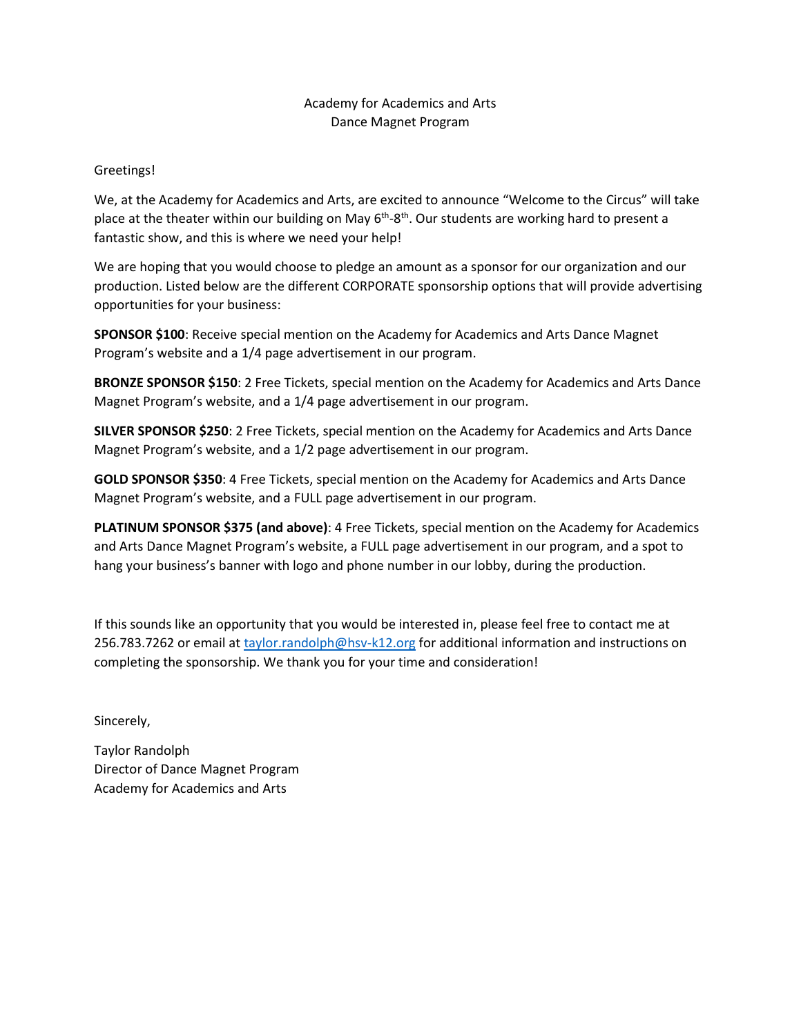## Academy for Academics and Arts Dance Magnet Program

Greetings!

We, at the Academy for Academics and Arts, are excited to announce "Welcome to the Circus" will take place at the theater within our building on May 6<sup>th</sup>-8<sup>th</sup>. Our students are working hard to present a fantastic show, and this is where we need your help!

We are hoping that you would choose to pledge an amount as a sponsor for our organization and our production. Listed below are the different CORPORATE sponsorship options that will provide advertising opportunities for your business:

**SPONSOR \$100**: Receive special mention on the Academy for Academics and Arts Dance Magnet Program's website and a 1/4 page advertisement in our program.

**BRONZE SPONSOR \$150**: 2 Free Tickets, special mention on the Academy for Academics and Arts Dance Magnet Program's website, and a 1/4 page advertisement in our program.

**SILVER SPONSOR \$250**: 2 Free Tickets, special mention on the Academy for Academics and Arts Dance Magnet Program's website, and a 1/2 page advertisement in our program.

**GOLD SPONSOR \$350**: 4 Free Tickets, special mention on the Academy for Academics and Arts Dance Magnet Program's website, and a FULL page advertisement in our program.

**PLATINUM SPONSOR \$375 (and above)**: 4 Free Tickets, special mention on the Academy for Academics and Arts Dance Magnet Program's website, a FULL page advertisement in our program, and a spot to hang your business's banner with logo and phone number in our lobby, during the production.

If this sounds like an opportunity that you would be interested in, please feel free to contact me at 256.783.7262 or email at [taylor.randolph@hsv-k12.org](mailto:taylor.randolph@hsv-k12.org) for additional information and instructions on completing the sponsorship. We thank you for your time and consideration!

Sincerely,

Taylor Randolph Director of Dance Magnet Program Academy for Academics and Arts